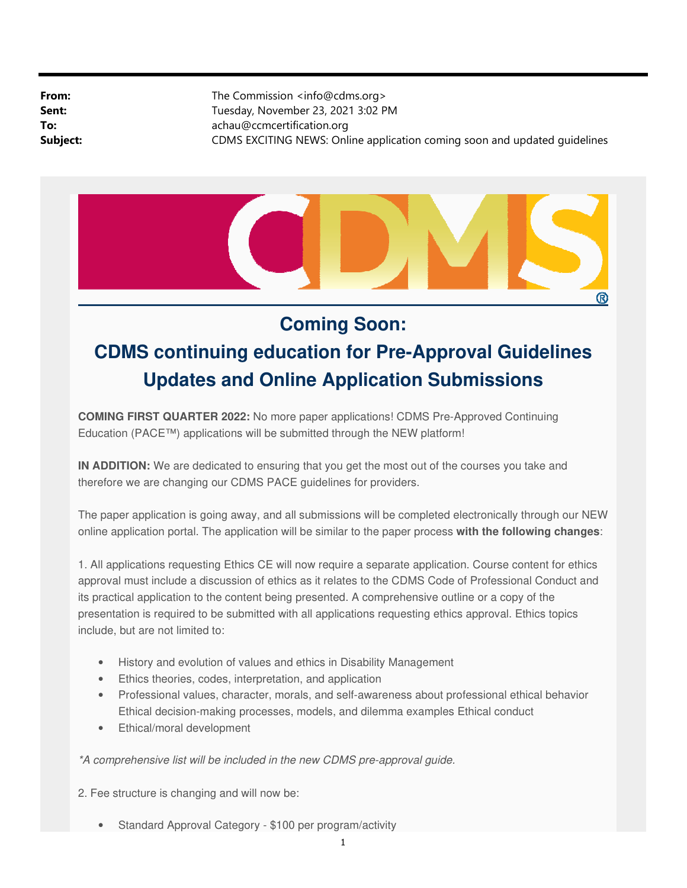**From:** The Commission <info@cdms.org> **Sent:** Tuesday, November 23, 2021 3:02 PM **To:** achau@ccmcertification.org **Subject:** CDMS EXCITING NEWS: Online application coming soon and updated guidelines



## **Coming Soon:**

## **CDMS continuing education for Pre-Approval Guidelines Updates and Online Application Submissions**

**COMING FIRST QUARTER 2022:** No more paper applications! CDMS Pre-Approved Continuing Education (PACE™) applications will be submitted through the NEW platform!

**IN ADDITION:** We are dedicated to ensuring that you get the most out of the courses you take and therefore we are changing our CDMS PACE guidelines for providers.

The paper application is going away, and all submissions will be completed electronically through our NEW online application portal. The application will be similar to the paper process **with the following changes**:

1. All applications requesting Ethics CE will now require a separate application. Course content for ethics approval must include a discussion of ethics as it relates to the CDMS Code of Professional Conduct and its practical application to the content being presented. A comprehensive outline or a copy of the presentation is required to be submitted with all applications requesting ethics approval. Ethics topics include, but are not limited to:

- History and evolution of values and ethics in Disability Management
- Ethics theories, codes, interpretation, and application
- Professional values, character, morals, and self-awareness about professional ethical behavior Ethical decision-making processes, models, and dilemma examples Ethical conduct
- Ethical/moral development

## \*A comprehensive list will be included in the new CDMS pre-approval guide.

2. Fee structure is changing and will now be:

• Standard Approval Category - \$100 per program/activity